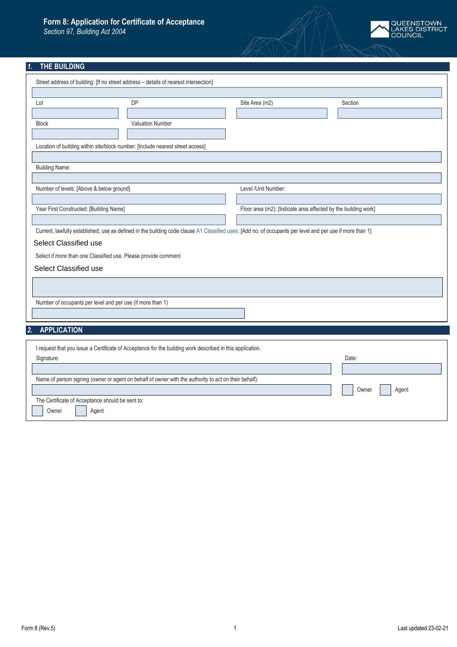## **Form 8: Application for Certificate of Acceptance**

*Section 97, Building Act 2004*



# *1.* **THE BUILDING**

| Street address of building: [If no street address - details of nearest intersection]                                                                      |                                                                |         |
|-----------------------------------------------------------------------------------------------------------------------------------------------------------|----------------------------------------------------------------|---------|
|                                                                                                                                                           |                                                                |         |
| <b>DP</b><br>Lot                                                                                                                                          | Site Area (m2)                                                 | Section |
|                                                                                                                                                           |                                                                |         |
| <b>Valuation Number</b><br><b>Block</b>                                                                                                                   |                                                                |         |
|                                                                                                                                                           |                                                                |         |
| Location of building within site/block number: [Include nearest street access]                                                                            |                                                                |         |
|                                                                                                                                                           |                                                                |         |
| <b>Building Name:</b>                                                                                                                                     |                                                                |         |
|                                                                                                                                                           |                                                                |         |
| Number of levels: [Above & below ground]                                                                                                                  | Level /Unit Number:                                            |         |
|                                                                                                                                                           |                                                                |         |
| Year First Constructed: [Building Name]                                                                                                                   | Floor area (m2): [Indicate area affected by the building work] |         |
|                                                                                                                                                           |                                                                |         |
| Current, lawfully established, use as defined in the building code clause A1 Classified uses: [Add no. of occupants per level and per use if more than 1] |                                                                |         |
| Select Classified use                                                                                                                                     |                                                                |         |
| Select if more than one Classified use. Please provide comment                                                                                            |                                                                |         |
|                                                                                                                                                           |                                                                |         |
| Select Classified use                                                                                                                                     |                                                                |         |
|                                                                                                                                                           |                                                                |         |
|                                                                                                                                                           |                                                                |         |
| Number of occupants per level and per use (if more than 1)                                                                                                |                                                                |         |
|                                                                                                                                                           |                                                                |         |
| <b>APPLICATION</b><br>2.                                                                                                                                  |                                                                |         |
|                                                                                                                                                           |                                                                |         |
| I request that you issue a Certificate of Acceptance for the building work described in this application.                                                 |                                                                |         |
| Signature:                                                                                                                                                |                                                                | Date:   |
|                                                                                                                                                           |                                                                |         |
| Name of person signing (owner or agent on behalf of owner with the authority to act on their behalf):                                                     |                                                                |         |
| Owner<br>Agent                                                                                                                                            |                                                                |         |
| The Certificate of Acceptance should be sent to:                                                                                                          |                                                                |         |
| Owner<br>Agent                                                                                                                                            |                                                                |         |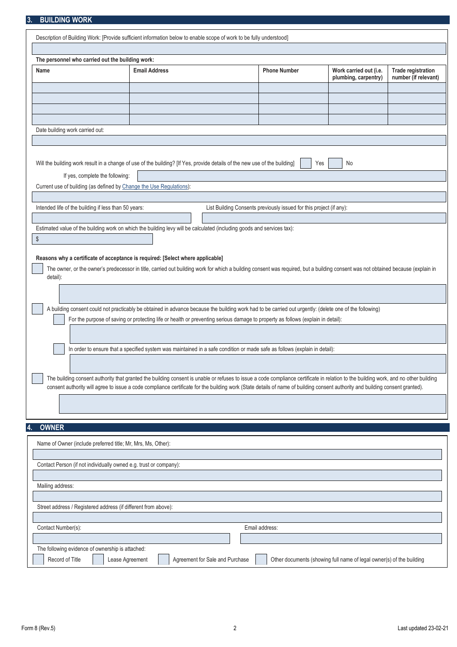### **3. BUILDING WORK**

| Description of Building Work: [Provide sufficient information below to enable scope of work to be fully understood]                                                                                                                                                                                                                                                                                                                       |                                                                                                                                 |                                 |                                                                     |                                                                      |                                                   |
|-------------------------------------------------------------------------------------------------------------------------------------------------------------------------------------------------------------------------------------------------------------------------------------------------------------------------------------------------------------------------------------------------------------------------------------------|---------------------------------------------------------------------------------------------------------------------------------|---------------------------------|---------------------------------------------------------------------|----------------------------------------------------------------------|---------------------------------------------------|
|                                                                                                                                                                                                                                                                                                                                                                                                                                           |                                                                                                                                 |                                 |                                                                     |                                                                      |                                                   |
| The personnel who carried out the building work:                                                                                                                                                                                                                                                                                                                                                                                          |                                                                                                                                 |                                 |                                                                     |                                                                      |                                                   |
| Name                                                                                                                                                                                                                                                                                                                                                                                                                                      | <b>Email Address</b>                                                                                                            |                                 | <b>Phone Number</b>                                                 | Work carried out (i.e.<br>plumbing, carpentry)                       | <b>Trade registration</b><br>number (if relevant) |
|                                                                                                                                                                                                                                                                                                                                                                                                                                           |                                                                                                                                 |                                 |                                                                     |                                                                      |                                                   |
|                                                                                                                                                                                                                                                                                                                                                                                                                                           |                                                                                                                                 |                                 |                                                                     |                                                                      |                                                   |
|                                                                                                                                                                                                                                                                                                                                                                                                                                           |                                                                                                                                 |                                 |                                                                     |                                                                      |                                                   |
| Date building work carried out:                                                                                                                                                                                                                                                                                                                                                                                                           |                                                                                                                                 |                                 |                                                                     |                                                                      |                                                   |
| Will the building work result in a change of use of the building? [If Yes, provide details of the new use of the building]<br>If yes, complete the following:<br>Current use of building (as defined by Change the Use Regulations):                                                                                                                                                                                                      |                                                                                                                                 |                                 | Yes                                                                 | No                                                                   |                                                   |
| Intended life of the building if less than 50 years:                                                                                                                                                                                                                                                                                                                                                                                      |                                                                                                                                 |                                 | List Building Consents previously issued for this project (if any): |                                                                      |                                                   |
|                                                                                                                                                                                                                                                                                                                                                                                                                                           |                                                                                                                                 |                                 |                                                                     |                                                                      |                                                   |
| Estimated value of the building work on which the building levy will be calculated (including goods and services tax):<br>\$                                                                                                                                                                                                                                                                                                              |                                                                                                                                 |                                 |                                                                     |                                                                      |                                                   |
| Reasons why a certificate of acceptance is required: [Select where applicable]<br>The owner, or the owner's predecessor in title, carried out building work for which a building consent was required, but a building consent was not obtained because (explain in<br>detail):<br>A building consent could not practicably be obtained in advance because the building work had to be carried out urgently: (delete one of the following) | For the purpose of saving or protecting life or health or preventing serious damage to property as follows (explain in detail): |                                 |                                                                     |                                                                      |                                                   |
|                                                                                                                                                                                                                                                                                                                                                                                                                                           | In order to ensure that a specified system was maintained in a safe condition or made safe as follows (explain in detail):      |                                 |                                                                     |                                                                      |                                                   |
| The building consent authority that granted the building consent is unable or refuses to issue a code compliance certificate in relation to the building work, and no other building<br>consent authority will agree to issue a code compliance certificate for the building work (State details of name of building consent authority and building consent granted).                                                                     |                                                                                                                                 |                                 |                                                                     |                                                                      |                                                   |
|                                                                                                                                                                                                                                                                                                                                                                                                                                           |                                                                                                                                 |                                 |                                                                     |                                                                      |                                                   |
| <b>OWNER</b><br>4.                                                                                                                                                                                                                                                                                                                                                                                                                        |                                                                                                                                 |                                 |                                                                     |                                                                      |                                                   |
| Name of Owner (include preferred title; Mr, Mrs, Ms, Other):                                                                                                                                                                                                                                                                                                                                                                              |                                                                                                                                 |                                 |                                                                     |                                                                      |                                                   |
| Contact Person (if not individually owned e.g. trust or company):                                                                                                                                                                                                                                                                                                                                                                         |                                                                                                                                 |                                 |                                                                     |                                                                      |                                                   |
|                                                                                                                                                                                                                                                                                                                                                                                                                                           |                                                                                                                                 |                                 |                                                                     |                                                                      |                                                   |
| Mailing address:                                                                                                                                                                                                                                                                                                                                                                                                                          |                                                                                                                                 |                                 |                                                                     |                                                                      |                                                   |
| Street address / Registered address (if different from above):                                                                                                                                                                                                                                                                                                                                                                            |                                                                                                                                 |                                 |                                                                     |                                                                      |                                                   |
| Contact Number(s):                                                                                                                                                                                                                                                                                                                                                                                                                        |                                                                                                                                 |                                 | Email address:                                                      |                                                                      |                                                   |
|                                                                                                                                                                                                                                                                                                                                                                                                                                           |                                                                                                                                 |                                 |                                                                     |                                                                      |                                                   |
| The following evidence of ownership is attached:<br>Record of Title<br>Lease Agreement                                                                                                                                                                                                                                                                                                                                                    |                                                                                                                                 | Agreement for Sale and Purchase |                                                                     | Other documents (showing full name of legal owner(s) of the building |                                                   |